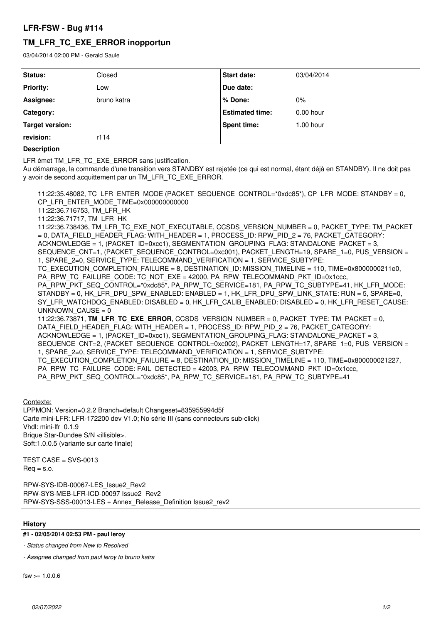## **LFR-FSW - Bug #114**

# **TM\_LFR\_TC\_EXE\_ERROR inopportun**

03/04/2014 02:00 PM - Gerald Saule

| Status:          | Closed      | <b>Start date:</b>     | 03/04/2014  |
|------------------|-------------|------------------------|-------------|
| <b>Priority:</b> | Low         | Due date:              |             |
| Assignee:        | bruno katra | % Done:                | 0%          |
| Category:        |             | <b>Estimated time:</b> | $0.00$ hour |
| Target version:  |             | <b>Spent time:</b>     | $1.00$ hour |
| revision:        | r114        |                        |             |

### **Description**

LFR émet TM\_LFR\_TC\_EXE\_ERROR sans justification.

Au démarrage, la commande d'une transition vers STANDBY est rejetée (ce qui est normal, étant déjà en STANDBY). Il ne doit pas y avoir de second acquittement par un TM\_LFR\_TC\_EXE\_ERROR.

11:22:35.48082, TC\_LFR\_ENTER\_MODE (PACKET\_SEQUENCE\_CONTROL=\*0xdc85\*), CP\_LFR\_MODE: STANDBY = 0, CP\_LFR\_ENTER\_MODE\_TIME=0x000000000000 11:22:36.716753, TM\_LFR\_HK 11:22:36.71717, TM\_LFR\_HK 11:22:36.738436, TM\_LFR\_TC\_EXE\_NOT\_EXECUTABLE, CCSDS\_VERSION\_NUMBER = 0, PACKET\_TYPE: TM\_PACKET = 0, DATA\_FIELD\_HEADER\_FLAG: WITH\_HEADER = 1, PROCESS\_ID: RPW\_PID\_2 = 76, PACKET\_CATEGORY: ACKNOWLEDGE = 1, (PACKET\_ID=0xcc1), SEGMENTATION\_GROUPING\_FLAG: STANDALONE\_PACKET = 3, SEQUENCE\_CNT=1, (PACKET\_SEQUENCE\_CONTROL=0xc001), PACKET\_LENGTH=19, SPARE\_1=0, PUS\_VERSION = 1, SPARE\_2=0, SERVICE\_TYPE: TELECOMMAND\_VERIFICATION = 1, SERVICE\_SUBTYPE: TC\_EXECUTION\_COMPLETION\_FAILURE = 8, DESTINATION\_ID: MISSION\_TIMELINE = 110, TIME=0x8000000211e0, PA\_RPW\_TC\_FAILURE\_CODE: TC\_NOT\_EXE = 42000, PA\_RPW\_TELECOMMAND\_PKT\_ID=0x1ccc, PA\_RPW\_PKT\_SEQ\_CONTROL=\*0xdc85\*, PA\_RPW\_TC\_SERVICE=181, PA\_RPW\_TC\_SUBTYPE=41, HK\_LFR\_MODE: STANDBY = 0, HK LFR\_DPU\_SPW\_ENABLED: ENABLED = 1, HK\_LFR\_DPU\_SPW\_LINK\_STATE: RUN = 5, SPARE=0, SY\_LFR\_WATCHDOG\_ENABLED: DISABLED = 0, HK\_LFR\_CALIB\_ENABLED: DISABLED = 0, HK\_LFR\_RESET\_CAUSE: UNKNOWN  $CAUSE = 0$ 11:22:36.73871, **TM\_LFR\_TC\_EXE\_ERROR**, CCSDS\_VERSION\_NUMBER = 0, PACKET\_TYPE: TM\_PACKET = 0, DATA\_FIELD\_HEADER\_FLAG: WITH\_HEADER = 1, PROCESS\_ID: RPW\_PID\_2 = 76, PACKET\_CATEGORY: ACKNOWLEDGE = 1, (PACKET ID=0xcc1), SEGMENTATION GROUPING FLAG: STANDALONE PACKET = 3, SEQUENCE\_CNT=2, (PACKET\_SEQUENCE\_CONTROL=0xc002), PACKET\_LENGTH=17, SPARE\_1=0, PUS\_VERSION = 1, SPARE\_2=0, SERVICE\_TYPE: TELECOMMAND\_VERIFICATION = 1, SERVICE\_SUBTYPE: TC\_EXECUTION\_COMPLETION\_FAILURE = 8, DESTINATION\_ID: MISSION\_TIMELINE = 110, TIME=0x800000021227, PA\_RPW\_TC\_FAILURE\_CODE: FAIL\_DETECTED = 42003, PA\_RPW\_TELECOMMAND\_PKT\_ID=0x1ccc, PA\_RPW\_PKT\_SEQ\_CONTROL=\*0xdc85\*, PA\_RPW\_TC\_SERVICE=181, PA\_RPW\_TC\_SUBTYPE=41

Contexte:

LPPMON: Version=0.2.2 Branch=default Changeset=835955994d5f Carte mini-LFR: LFR-172200 dev V1.0; No série III (sans connecteurs sub-click) Vhdl: mini-lfr\_0.1.9 Brique Star-Dundee S/N <illisible>. Soft:1.0.0.5 (variante sur carte finale)

TEST CASE = SVS-0013  $Req = s.o.$ 

RPW-SYS-IDB-00067-LES\_Issue2\_Rev2 RPW-SYS-MEB-LFR-ICD-00097 Issue2\_Rev2 RPW-SYS-SSS-00013-LES + Annex\_Release\_Definition Issue2\_rev2

### **History**

### **#1 - 02/05/2014 02:53 PM - paul leroy**

*- Status changed from New to Resolved*

*- Assignee changed from paul leroy to bruno katra*

 $f_{SW} > 1.0.06$